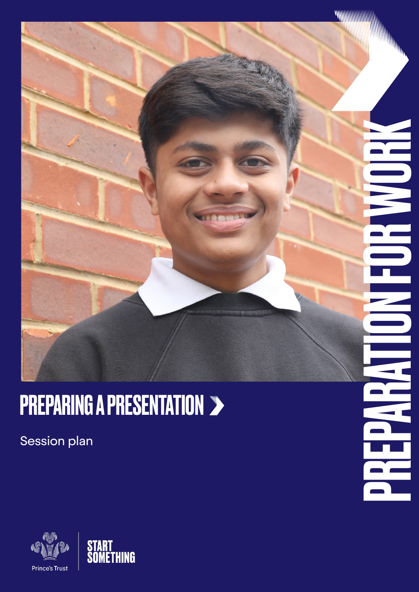

<u>IT</u>

### **PREPARING A PRESENTATION >**

Session plan



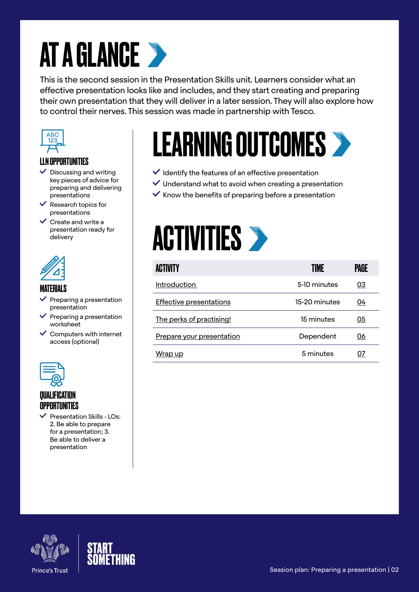### **AT A GLANCE >**

This is the second session in the Presentation Skills unit. Learners consider what an effective presentation looks like and includes, and they start creating and preparing their own presentation that they will deliver in a later session. They will also explore how to control their nerves. This session was made in partnership with Tesco.



#### LLN OPPORTUNITIES

- $\checkmark$  Discussing and writing key pieces of advice for preparing and delivering presentations
- $\vee$  Research topics for presentations
- $\vee$  Create and write a presentation ready for delivery



#### MATERIALS

- Preparing a presentation presentation
- Preparing a presentation worksheet
- $\checkmark$  Computers with internet access (optional)



#### **QUALIFICATION OPPORTUNITIES**

 $\vee$  Presentation Skills - LOs: 2. Be able to prepare for a presentation; 3. Be able to deliver a presentation

### LEARNING OUTCOMES

- $\checkmark$  Identify the features of an effective presentation
- $\vee$  Understand what to avoid when creating a presentation
- $\vee$  Know the benefits of preparing before a presentation



| <b>ACTIVITY</b>                | TIME          | PAGE |
|--------------------------------|---------------|------|
| <b>Introduction</b>            | 5-10 minutes  | 03   |
| <b>Effective presentations</b> | 15-20 minutes | 04   |
| The perks of practising!       | 15 minutes    | 05   |
| Prepare your presentation      | Dependent     | 06   |
| Wrap up                        | 5 minutes     |      |



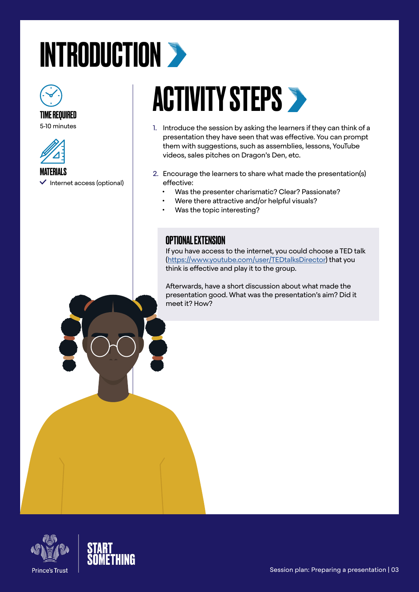# <span id="page-2-0"></span>INTRODUCTION >



#### TIME REQUIRED

5-10 minutes





### **ACTIVITY STEPS >**

- 1. Introduce the session by asking the learners if they can think of a presentation they have seen that was effective. You can prompt them with suggestions, such as assemblies, lessons, YouTube videos, sales pitches on Dragon's Den, etc.
- 2. Encourage the learners to share what made the presentation(s) effective:
	- Was the presenter charismatic? Clear? Passionate?
	- Were there attractive and/or helpful visuals?
	- Was the topic interesting?

### OPTIONAL EXTENSION

If you have access to the internet, you could choose a TED talk [\(https://www.youtube.com/user/TEDtalksDirector\)](https://www.youtube.com/user/TEDtalksDirector) that you think is effective and play it to the group.

Afterwards, have a short discussion about what made the presentation good. What was the presentation's aim? Did it meet it? How?



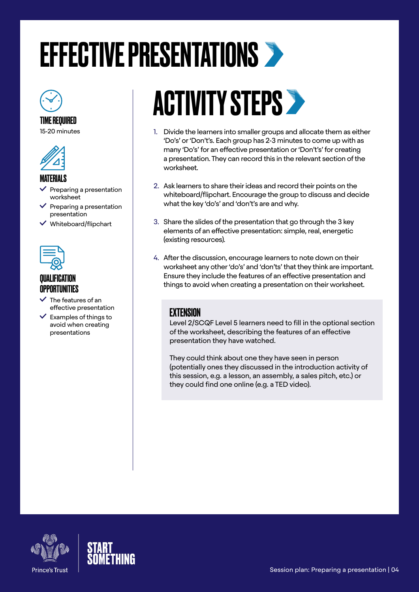### <span id="page-3-0"></span>EFFECTIVE PRESENTATIONS



TIME REQUIRED 15-20 minutes



#### MATERIALS

- Preparing a presentation worksheet
- Preparing a presentation presentation
- Whiteboard/flipchart



### **OPPORTUNITIES**

- The features of an effective presentation
- $\vee$  Examples of things to avoid when creating presentations

### ACTIVITY STEPS

- 1. Divide the learners into smaller groups and allocate them as either 'Do's' or 'Don't's. Each group has 2-3 minutes to come up with as many 'Do's' for an effective presentation or 'Don't's' for creating a presentation. They can record this in the relevant section of the worksheet.
- 2. Ask learners to share their ideas and record their points on the whiteboard/flipchart. Encourage the group to discuss and decide what the key 'do's' and 'don't's are and why.
- 3. Share the slides of the presentation that go through the 3 key elements of an effective presentation: simple, real, energetic (existing resources).
- 4. After the discussion, encourage learners to note down on their worksheet any other 'do's' and 'don'ts' that they think are important. Ensure they include the features of an effective presentation and things to avoid when creating a presentation on their worksheet.

### **EXTENSION**

Level 2/SCQF Level 5 learners need to fill in the optional section of the worksheet, describing the features of an effective presentation they have watched.

They could think about one they have seen in person (potentially ones they discussed in the introduction activity of this session, e.g. a lesson, an assembly, a sales pitch, etc.) or they could find one online (e.g. a TED video).



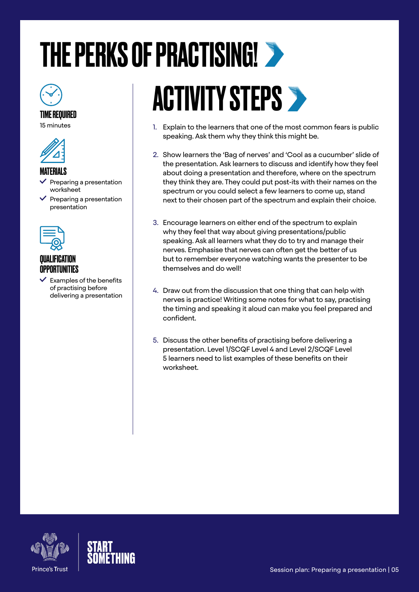# <span id="page-4-0"></span>THE PERKS OF PRACTISING!



#### TIME REQUIRED

15 minutes



#### MATFRIAI S

- Preparing a presentation worksheet
- $\vee$  Preparing a presentation presentation



### QUALIFICATION OPPORTUNITIES

 $\checkmark$  Examples of the benefits of practising before delivering a presentation

# **ACTIVITY STEPS >**

- 1. Explain to the learners that one of the most common fears is public speaking. Ask them why they think this might be.
- 2. Show learners the 'Bag of nerves' and 'Cool as a cucumber' slide of the presentation. Ask learners to discuss and identify how they feel about doing a presentation and therefore, where on the spectrum they think they are. They could put post-its with their names on the spectrum or you could select a few learners to come up, stand next to their chosen part of the spectrum and explain their choice.
- 3. Encourage learners on either end of the spectrum to explain why they feel that way about giving presentations/public speaking. Ask all learners what they do to try and manage their nerves. Emphasise that nerves can often get the better of us but to remember everyone watching wants the presenter to be themselves and do well!
- 4. Draw out from the discussion that one thing that can help with nerves is practice! Writing some notes for what to say, practising the timing and speaking it aloud can make you feel prepared and confident.
- 5. Discuss the other benefits of practising before delivering a presentation. Level 1/SCQF Level 4 and Level 2/SCQF Level 5 learners need to list examples of these benefits on their worksheet.



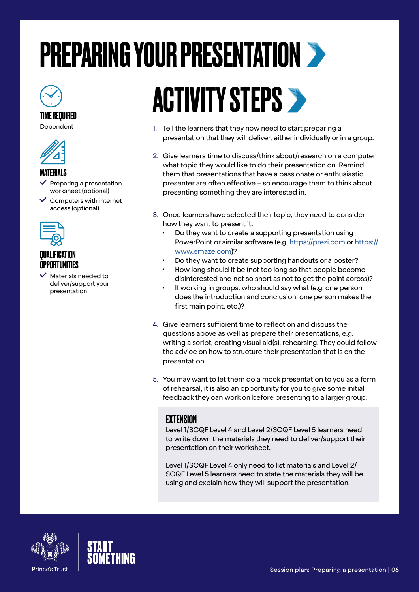### <span id="page-5-0"></span>PREPARING YOUR PRESENTATION

#### TIME REQUIRED

Dependent



#### **MATFRIALS**

- Preparing a presentation worksheet (optional)
- $\vee$  Computers with internet access (optional)



#### QUALIFICATION **OPPORTUNITIES**

 Materials needed to deliver/support your presentation

### **ACTIVITY STEPS >**

- 1. Tell the learners that they now need to start preparing a presentation that they will deliver, either individually or in a group.
- 2. Give learners time to discuss/think about/research on a computer what topic they would like to do their presentation on. Remind them that presentations that have a passionate or enthusiastic presenter are often effective – so encourage them to think about presenting something they are interested in.
- 3. Once learners have selected their topic, they need to consider how they want to present it:
	- Do they want to create a supporting presentation using PowerPoint or similar software (e.g[. https://prezi.com]( https://prezi.com) or [https://](https://www.emaze.com) [www.emaze.com\)](https://www.emaze.com)?
	- Do they want to create supporting handouts or a poster?
	- How long should it be (not too long so that people become disinterested and not so short as not to get the point across)?
	- If working in groups, who should say what (e.g. one person does the introduction and conclusion, one person makes the first main point, etc.)?
- 4. Give learners sufficient time to reflect on and discuss the questions above as well as prepare their presentations, e.g. writing a script, creating visual aid(s), rehearsing. They could follow the advice on how to structure their presentation that is on the presentation.
- 5. You may want to let them do a mock presentation to you as a form of rehearsal, it is also an opportunity for you to give some initial feedback they can work on before presenting to a larger group.

#### **FXTFNSION**

Level 1/SCQF Level 4 and Level 2/SCQF Level 5 learners need to write down the materials they need to deliver/support their presentation on their worksheet.

Level 1/SCQF Level 4 only need to list materials and Level 2/ SCQF Level 5 learners need to state the materials they will be using and explain how they will support the presentation.